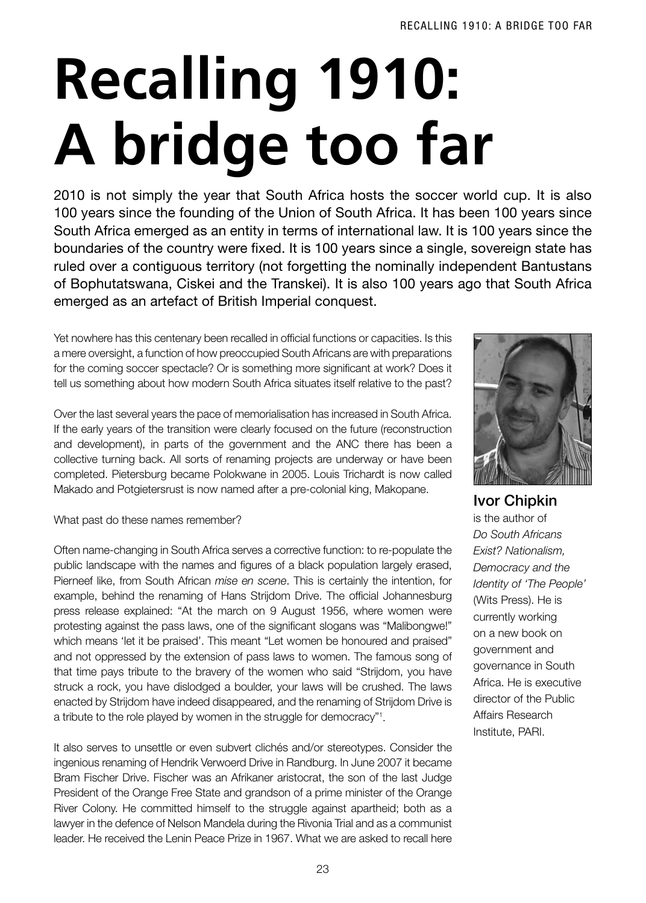## **Recalling 1910: A bridge too far**

2010 is not simply the year that South Africa hosts the soccer world cup. It is also 100 years since the founding of the Union of South Africa. It has been 100 years since South Africa emerged as an entity in terms of international law. It is 100 years since the boundaries of the country were fixed. It is 100 years since a single, sovereign state has ruled over a contiguous territory (not forgetting the nominally independent Bantustans of Bophutatswana, Ciskei and the Transkei). It is also 100 years ago that South Africa emerged as an artefact of British Imperial conquest.

Yet nowhere has this centenary been recalled in official functions or capacities. Is this a mere oversight, a function of how preoccupied South Africans are with preparations for the coming soccer spectacle? Or is something more significant at work? Does it tell us something about how modern South Africa situates itself relative to the past?

Over the last several years the pace of memorialisation has increased in South Africa. If the early years of the transition were clearly focused on the future (reconstruction and development), in parts of the government and the ANC there has been a collective turning back. All sorts of renaming projects are underway or have been completed. Pietersburg became Polokwane in 2005. Louis Trichardt is now called Makado and Potgietersrust is now named after a pre-colonial king, Makopane.

What past do these names remember?

Often name-changing in South Africa serves a corrective function: to re-populate the public landscape with the names and figures of a black population largely erased, Pierneef like, from South African *mise en scene*. This is certainly the intention, for example, behind the renaming of Hans Strijdom Drive. The official Johannesburg press release explained: "At the march on 9 August 1956, where women were protesting against the pass laws, one of the significant slogans was "Malibongwe!" which means 'let it be praised'. This meant "Let women be honoured and praised" and not oppressed by the extension of pass laws to women. The famous song of that time pays tribute to the bravery of the women who said "Strijdom, you have struck a rock, you have dislodged a boulder, your laws will be crushed. The laws enacted by Strijdom have indeed disappeared, and the renaming of Strijdom Drive is a tribute to the role played by women in the struggle for democracy"1 .

It also serves to unsettle or even subvert clichés and/or stereotypes. Consider the ingenious renaming of Hendrik Verwoerd Drive in Randburg. In June 2007 it became Bram Fischer Drive. Fischer was an Afrikaner aristocrat, the son of the last Judge President of the Orange Free State and grandson of a prime minister of the Orange River Colony. He committed himself to the struggle against apartheid; both as a lawyer in the defence of Nelson Mandela during the Rivonia Trial and as a communist leader. He received the Lenin Peace Prize in 1967. What we are asked to recall here



Ivor Chipkin is the author of *Do South Africans Exist? Nationalism, Democracy and the Identity of 'The People'*  (Wits Press). He is currently working on a new book on government and governance in South Africa. He is executive director of the Public Affairs Research Institute, PARI.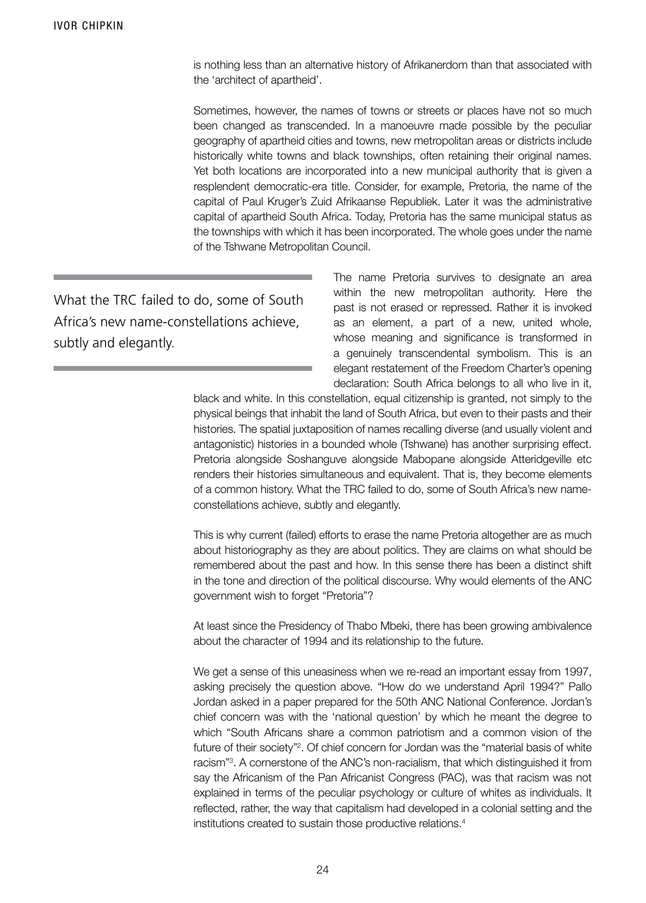is nothing less than an alternative history of Afrikanerdom than that associated with the 'architect of apartheid'.

Sometimes, however, the names of towns or streets or places have not so much been changed as transcended. In a manoeuvre made possible by the peculiar geography of apartheid cities and towns, new metropolitan areas or districts include historically white towns and black townships, often retaining their original names. Yet both locations are incorporated into a new municipal authority that is given a resplendent democratic-era title. Consider, for example, Pretoria, the name of the capital of Paul Kruger's Zuid Afrikaanse Republiek. Later it was the administrative capital of apartheid South Africa. Today, Pretoria has the same municipal status as the townships with which it has been incorporated. The whole goes under the name of the Tshwane Metropolitan Council.

What the TRC failed to do, some of South Africa's new name-constellations achieve, subtly and elegantly.

The name Pretoria survives to designate an area within the new metropolitan authority. Here the past is not erased or repressed. Rather it is invoked as an element, a part of a new, united whole, whose meaning and significance is transformed in a genuinely transcendental symbolism. This is an elegant restatement of the Freedom Charter's opening declaration: South Africa belongs to all who live in it,

black and white. In this constellation, equal citizenship is granted, not simply to the physical beings that inhabit the land of South Africa, but even to their pasts and their histories. The spatial juxtaposition of names recalling diverse (and usually violent and antagonistic) histories in a bounded whole (Tshwane) has another surprising effect. Pretoria alongside Soshanguve alongside Mabopane alongside Atteridgeville etc renders their histories simultaneous and equivalent. That is, they become elements of a common history. What the TRC failed to do, some of South Africa's new nameconstellations achieve, subtly and elegantly.

This is why current (failed) efforts to erase the name Pretoria altogether are as much about historiography as they are about politics. They are claims on what should be remembered about the past and how. In this sense there has been a distinct shift in the tone and direction of the political discourse. Why would elements of the ANC government wish to forget "Pretoria"?

At least since the Presidency of Thabo Mbeki, there has been growing ambivalence about the character of 1994 and its relationship to the future.

We get a sense of this uneasiness when we re-read an important essay from 1997, asking precisely the question above. "How do we understand April 1994?" Pallo Jordan asked in a paper prepared for the 50th ANC National Conference. Jordan's chief concern was with the 'national question' by which he meant the degree to which "South Africans share a common patriotism and a common vision of the future of their society"<sup>2</sup>. Of chief concern for Jordan was the "material basis of white racism"<sup>3</sup>. A cornerstone of the ANC's non-racialism, that which distinguished it from say the Africanism of the Pan Africanist Congress (PAC), was that racism was not explained in terms of the peculiar psychology or culture of whites as individuals. It reflected, rather, the way that capitalism had developed in a colonial setting and the institutions created to sustain those productive relations.4